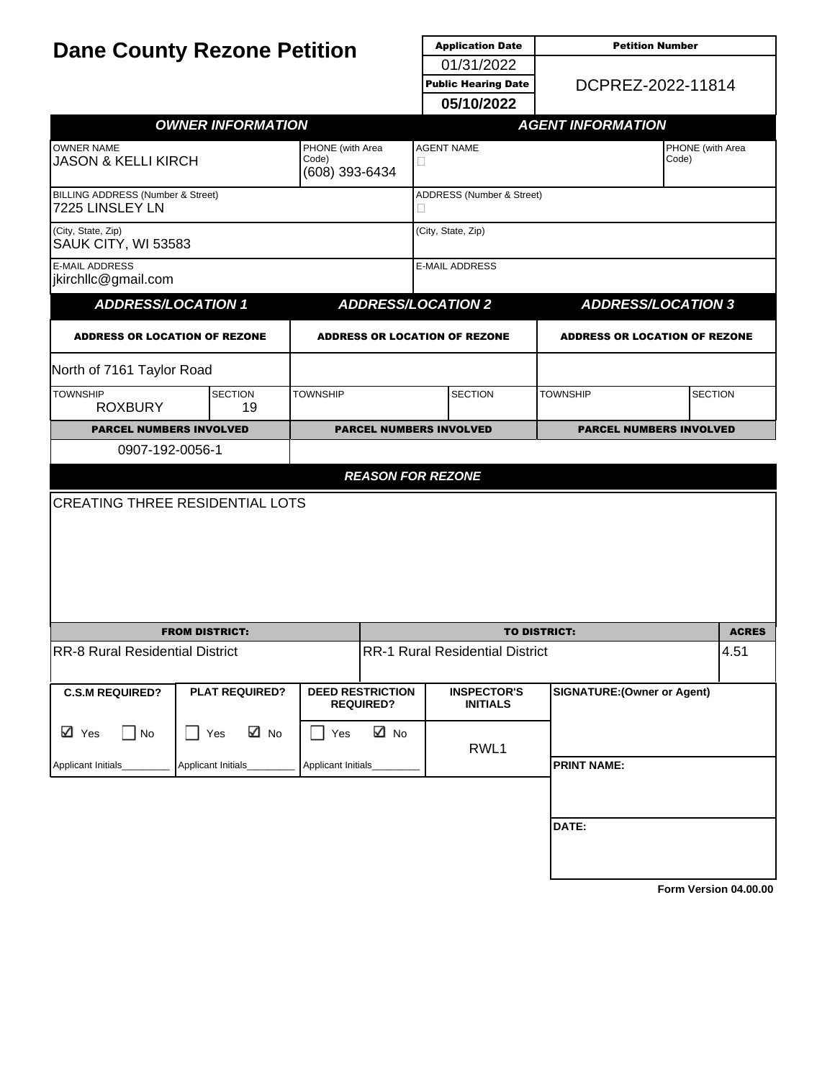| <b>Dane County Rezone Petition</b>                   |                          |                           |                                                               | <b>Application Date</b>                                       | <b>Petition Number</b>               |                  |  |
|------------------------------------------------------|--------------------------|---------------------------|---------------------------------------------------------------|---------------------------------------------------------------|--------------------------------------|------------------|--|
|                                                      |                          |                           |                                                               | 01/31/2022<br>DCPREZ-2022-11814<br><b>Public Hearing Date</b> |                                      |                  |  |
|                                                      |                          |                           |                                                               |                                                               |                                      |                  |  |
|                                                      |                          |                           |                                                               | 05/10/2022                                                    |                                      |                  |  |
|                                                      | <b>OWNER INFORMATION</b> |                           |                                                               |                                                               | <b>AGENT INFORMATION</b>             |                  |  |
| <b>OWNER NAME</b>                                    |                          | PHONE (with Area<br>Code) |                                                               | <b>AGENT NAME</b>                                             | Code)                                | PHONE (with Area |  |
| <b>JASON &amp; KELLI KIRCH</b>                       |                          | (608) 393-6434            | □                                                             |                                                               |                                      |                  |  |
| BILLING ADDRESS (Number & Street)<br>7225 LINSLEY LN |                          |                           |                                                               | ADDRESS (Number & Street)<br>Ц                                |                                      |                  |  |
| (City, State, Zip)<br>SAUK CITY, WI 53583            |                          |                           |                                                               | (City, State, Zip)                                            |                                      |                  |  |
| <b>E-MAIL ADDRESS</b><br>jkirchllc@gmail.com         |                          |                           |                                                               | <b>E-MAIL ADDRESS</b>                                         |                                      |                  |  |
| <b>ADDRESS/LOCATION 1</b>                            |                          |                           |                                                               | <b>ADDRESS/LOCATION 2</b>                                     | <b>ADDRESS/LOCATION 3</b>            |                  |  |
| <b>ADDRESS OR LOCATION OF REZONE</b>                 |                          |                           |                                                               | <b>ADDRESS OR LOCATION OF REZONE</b>                          | <b>ADDRESS OR LOCATION OF REZONE</b> |                  |  |
| North of 7161 Taylor Road                            |                          |                           |                                                               |                                                               |                                      |                  |  |
| <b>TOWNSHIP</b><br><b>ROXBURY</b>                    | <b>SECTION</b><br>19     | <b>TOWNSHIP</b>           |                                                               | <b>SECTION</b>                                                | <b>TOWNSHIP</b><br><b>SECTION</b>    |                  |  |
| <b>PARCEL NUMBERS INVOLVED</b>                       |                          |                           |                                                               | <b>PARCEL NUMBERS INVOLVED</b>                                | <b>PARCEL NUMBERS INVOLVED</b>       |                  |  |
| 0907-192-0056-1                                      |                          |                           |                                                               |                                                               |                                      |                  |  |
|                                                      |                          |                           |                                                               | <b>REASON FOR REZONE</b>                                      |                                      |                  |  |
| <b>CREATING THREE RESIDENTIAL LOTS</b>               |                          |                           |                                                               |                                                               |                                      |                  |  |
|                                                      |                          |                           |                                                               |                                                               |                                      | <b>ACRES</b>     |  |
| <b>RR-8 Rural Residential District</b>               | <b>FROM DISTRICT:</b>    |                           | <b>TO DISTRICT:</b><br><b>RR-1 Rural Residential District</b> |                                                               |                                      | 4.51             |  |
|                                                      |                          |                           |                                                               |                                                               |                                      |                  |  |
| <b>C.S.M REQUIRED?</b>                               | <b>PLAT REQUIRED?</b>    |                           | <b>DEED RESTRICTION</b><br><b>REQUIRED?</b>                   | <b>INSPECTOR'S</b><br><b>INITIALS</b>                         | <b>SIGNATURE: (Owner or Agent)</b>   |                  |  |
| ⊠ Yes<br>No<br>$\Box$                                | ⊠ No<br>$\Box$ Yes       | Yes                       | ⊠ No                                                          | RWL1                                                          |                                      |                  |  |
| Applicant Initials_                                  | Applicant Initials_      | Applicant Initials_       |                                                               |                                                               | <b>PRINT NAME:</b>                   |                  |  |
|                                                      |                          |                           |                                                               |                                                               |                                      |                  |  |
|                                                      |                          |                           |                                                               |                                                               | DATE:                                |                  |  |
|                                                      |                          |                           |                                                               |                                                               |                                      |                  |  |
|                                                      |                          |                           |                                                               |                                                               |                                      |                  |  |

**[Form Version 04.00.00](http://sql2008-reports/Reports/Pages/Resource.aspx?ItemPath=%2fDocumentation%2fReport+Index.docx)**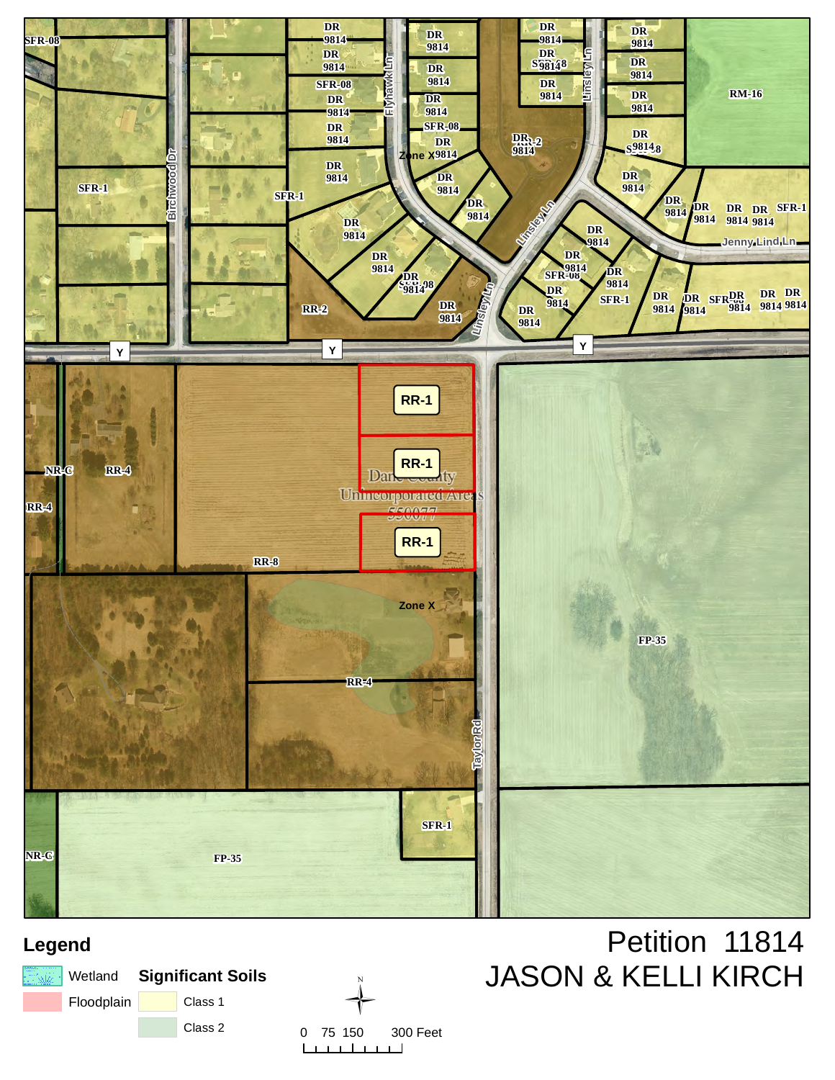

# **Legend**

|            | <b>That's I Wetland</b> Significant Soils |         |
|------------|-------------------------------------------|---------|
| Floodplain |                                           | Class 1 |
|            |                                           | Class 2 |



# Petition 11814 JASON & KELLI KIRCH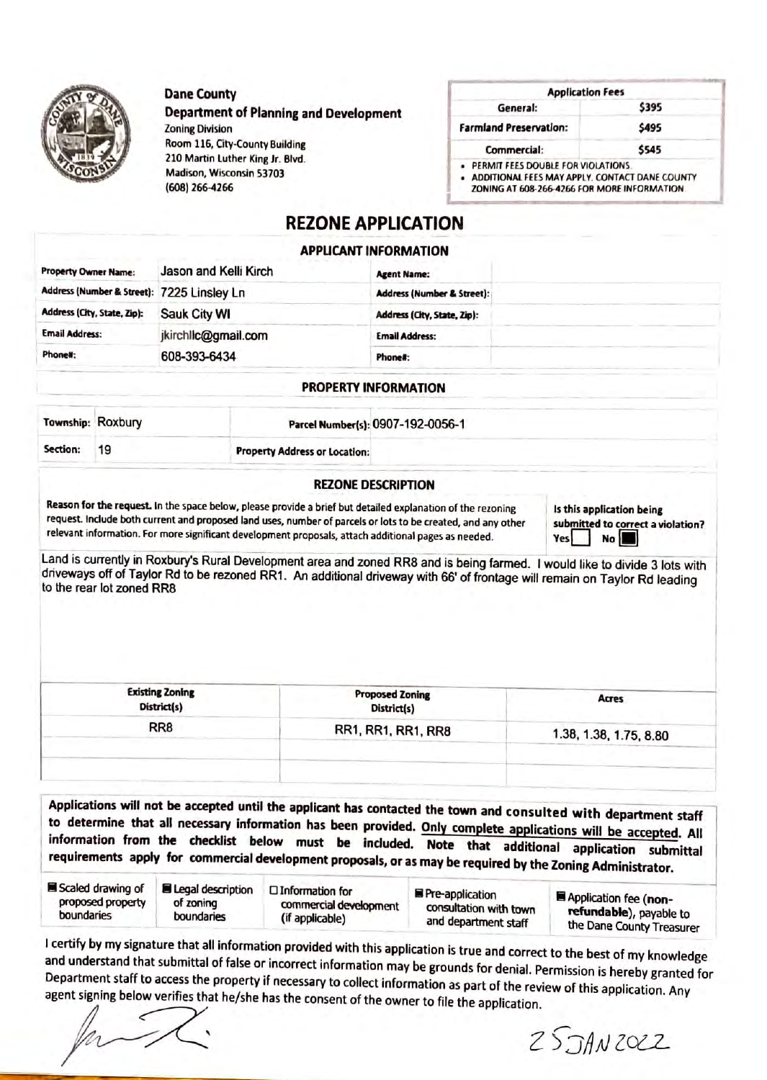

#### **Dane County**

## **Department of Planning and Development**

**Zoning Division** Room 116, City-County Building 210 Martin Luther King Jr. Blvd. Madison, Wisconsin 53703 (608) 266-4266

| <b>Application Fees</b>            |       |  |
|------------------------------------|-------|--|
| General:                           | \$395 |  |
| <b>Farmland Preservation:</b>      | \$495 |  |
| Commercial:                        | \$545 |  |
| PERMIT FEES DOUBLE FOR VIOLATIONS. |       |  |

. ADDITIONAL FEES MAY APPLY. CONTACT DANE COUNTY ZONING AT 608-266-4266 FOR MORE INFORMATION

## **REZONE APPLICATION**

#### **APPLICANT INFORMATION**

| <b>Property Owner Name:</b>                | Jason and Kelli Kirch | <b>Agent Name:</b>                    |  |
|--------------------------------------------|-----------------------|---------------------------------------|--|
| Address (Number & Street): 7225 Linsley Ln |                       | <b>Address (Number &amp; Street):</b> |  |
| Address (City, State, Zip):                | Sauk City WI          | Address (City, State, Zip):           |  |
| <b>Email Address:</b>                      | jkirchlic@gmail.com   | <b>Email Address:</b>                 |  |
| Phone#:                                    | 608-393-6434          | Phone#:                               |  |

#### **PROPERTY INFORMATION**

|          | Township: Roxbury | Parcel Number(s): 0907-192-0056-1    |  |
|----------|-------------------|--------------------------------------|--|
| Section: | 19                | <b>Property Address or Location:</b> |  |

#### **REZONE DESCRIPTION**

Reason for the request. In the space below, please provide a brief but detailed explanation of the rezoning request. Include both current and proposed land uses, number of parcels or lots to be created, and any other relevant information. For more significant development proposals, attach additional pages as needed.

Is this application being submitted to correct a violation? Yes No

Land is currently in Roxbury's Rural Development area and zoned RR8 and is being farmed. I would like to divide 3 lots with driveways off of Taylor Rd to be rezoned RR1. An additional driveway with 66' of frontage will remain on Taylor Rd leading to the rear lot zoned RR8

| <b>Existing Zoning</b><br>District(s) | <b>Proposed Zoning</b><br>District(s) | Acres                  |
|---------------------------------------|---------------------------------------|------------------------|
| RR <sub>8</sub>                       | RR1, RR1, RR1, RR8                    | 1.38, 1.38, 1.75, 8.80 |
|                                       |                                       |                        |
|                                       |                                       |                        |

Applications will not be accepted until the applicant has contacted the town and consulted with department staff to determine that all necessary information has been provided. Only complete applications will be accepted. All information from the checklist below must be included. Note that additional application submittal requirements apply for commercial development proposals, or as may be required by the Zoning Administrator.

| Scaled drawing of<br><b>Elegal description</b><br>□ Information for<br>proposed property<br>of zoning<br>commercial development<br>boundaries<br>boundaries<br>(if applicable) | Pre-application<br>consultation with town<br>and department staff | Application fee (non-<br>refundable), payable to<br>the Dane County Treasurer |
|--------------------------------------------------------------------------------------------------------------------------------------------------------------------------------|-------------------------------------------------------------------|-------------------------------------------------------------------------------|
|--------------------------------------------------------------------------------------------------------------------------------------------------------------------------------|-------------------------------------------------------------------|-------------------------------------------------------------------------------|

I certify by my signature that all information provided with this application is true and correct to the best of my knowledge and understand that submittal of false or incorrect information may be grounds for denial. Permission is hereby granted for Department staff to access the property if necessary to collect information as part of the review of this application. Any agent signing below verifies that he/she has the consent of the owner to file the application.

 $25$ JANZOCZ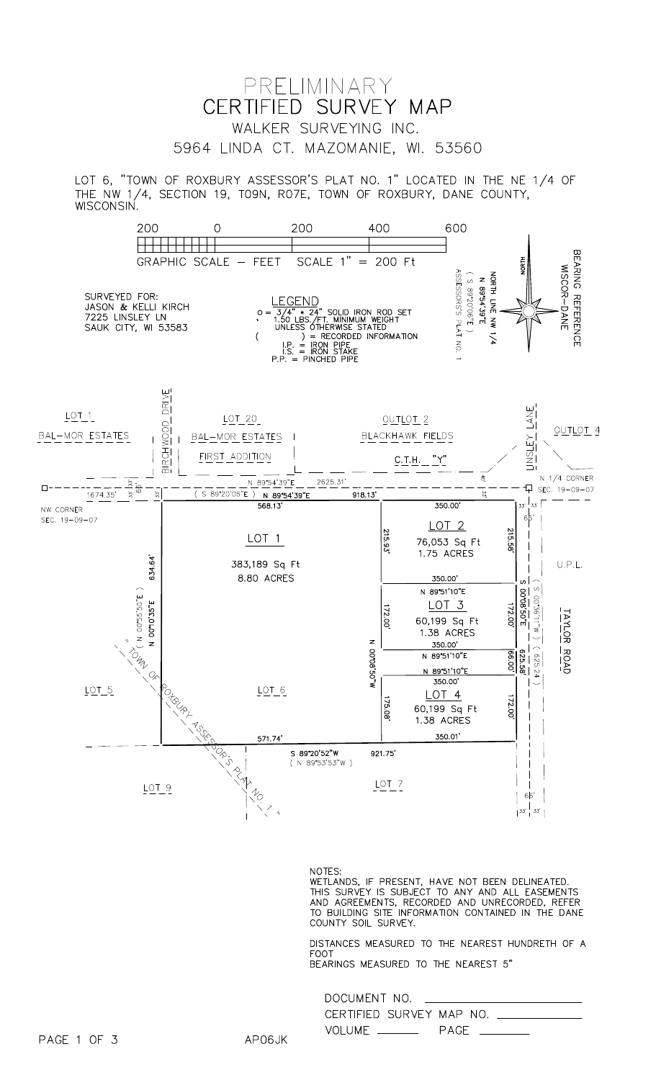

LOT 6, "TOWN OF ROXBURY ASSESSOR'S PLAT NO. 1" LOCATED IN THE NE 1/4 OF THE NW 1/4, SECTION 19, TO9N, RO7E, TOWN OF ROXBURY, DANE COUNTY, WISCONSIN.



#### NOTES:

NOTES.<br>WETLANDS, IF PRESENT, HAVE NOT BEEN DELINEATED.<br>THIS SURVEY IS SUBJECT TO ANY AND ALL EASEMENTS<br>AND AGREEMENTS, RECORDED AND UNRECORDED, REFER<br>TO BUILDING SITE INFORMATION CONTAINED IN THE DANE<br>COUNTY SOIL SURVEY.

DISTANCES MEASURED TO THE NEAREST HUNDRETH OF A FOOT B

| EARINGS MEASURED TO THE NEAREST 5 |  |  |
|-----------------------------------|--|--|
|                                   |  |  |

| DOCUMENT NO.             |      |
|--------------------------|------|
| CERTIFIED SURVEY MAP NO. |      |
| VOLUME ________          | PAGE |

AP06JK